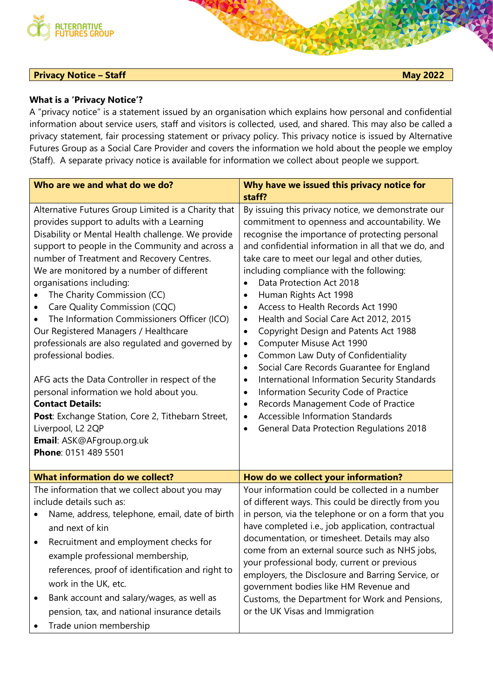

## **Privacy Notice – Staff May 2022**

A "privacy notice" is a statement issued by an organisation which explains how personal and confidential information about service users, staff and visitors is collected, used, and shared. This may also be called a privacy statement, fair processing statement or privacy policy. This privacy notice is issued by Alternative Futures Group as a Social Care Provider and covers the information we hold about the people we employ (Staff). A separate privacy notice is available for information we collect about people we support.

| Who are we and what do we do?                                                                                                                                                                                                                                                                                                                                                                                                                                                                                                                                                                                                                                                                                                                                                                                                  | Why have we issued this privacy notice for                                                                                                                                                                                                                                                                                                                                                                                                                                                                                                                                                                                                                                                                                                                                                                                                                                                                                                                                                                   |
|--------------------------------------------------------------------------------------------------------------------------------------------------------------------------------------------------------------------------------------------------------------------------------------------------------------------------------------------------------------------------------------------------------------------------------------------------------------------------------------------------------------------------------------------------------------------------------------------------------------------------------------------------------------------------------------------------------------------------------------------------------------------------------------------------------------------------------|--------------------------------------------------------------------------------------------------------------------------------------------------------------------------------------------------------------------------------------------------------------------------------------------------------------------------------------------------------------------------------------------------------------------------------------------------------------------------------------------------------------------------------------------------------------------------------------------------------------------------------------------------------------------------------------------------------------------------------------------------------------------------------------------------------------------------------------------------------------------------------------------------------------------------------------------------------------------------------------------------------------|
|                                                                                                                                                                                                                                                                                                                                                                                                                                                                                                                                                                                                                                                                                                                                                                                                                                | staff?                                                                                                                                                                                                                                                                                                                                                                                                                                                                                                                                                                                                                                                                                                                                                                                                                                                                                                                                                                                                       |
| Alternative Futures Group Limited is a Charity that<br>provides support to adults with a Learning<br>Disability or Mental Health challenge. We provide<br>support to people in the Community and across a<br>number of Treatment and Recovery Centres.<br>We are monitored by a number of different<br>organisations including:<br>The Charity Commission (CC)<br>Care Quality Commission (CQC)<br>٠<br>The Information Commissioners Officer (ICO)<br>Our Registered Managers / Healthcare<br>professionals are also regulated and governed by<br>professional bodies.<br>AFG acts the Data Controller in respect of the<br>personal information we hold about you.<br><b>Contact Details:</b><br>Post: Exchange Station, Core 2, Tithebarn Street,<br>Liverpool, L2 2QP<br>Email: ASK@AFgroup.org.uk<br>Phone: 0151 489 5501 | By issuing this privacy notice, we demonstrate our<br>commitment to openness and accountability. We<br>recognise the importance of protecting personal<br>and confidential information in all that we do, and<br>take care to meet our legal and other duties,<br>including compliance with the following:<br>Data Protection Act 2018<br>$\bullet$<br>Human Rights Act 1998<br>$\bullet$<br>Access to Health Records Act 1990<br>$\bullet$<br>Health and Social Care Act 2012, 2015<br>$\bullet$<br>Copyright Design and Patents Act 1988<br>$\bullet$<br>Computer Misuse Act 1990<br>$\bullet$<br>Common Law Duty of Confidentiality<br>$\bullet$<br>Social Care Records Guarantee for England<br>$\bullet$<br>International Information Security Standards<br>$\bullet$<br>Information Security Code of Practice<br>$\bullet$<br>Records Management Code of Practice<br>$\bullet$<br><b>Accessible Information Standards</b><br>$\bullet$<br><b>General Data Protection Regulations 2018</b><br>$\bullet$ |
| <b>What information do we collect?</b>                                                                                                                                                                                                                                                                                                                                                                                                                                                                                                                                                                                                                                                                                                                                                                                         | How do we collect your information?                                                                                                                                                                                                                                                                                                                                                                                                                                                                                                                                                                                                                                                                                                                                                                                                                                                                                                                                                                          |
| The information that we collect about you may<br>include details such as:<br>Name, address, telephone, email, date of birth<br>and next of kin<br>Recruitment and employment checks for<br>٠<br>example professional membership,<br>references, proof of identification and right to<br>work in the UK, etc.<br>Bank account and salary/wages, as well as<br>٠<br>pension, tax, and national insurance details<br>Trade union membership                                                                                                                                                                                                                                                                                                                                                                                       | Your information could be collected in a number<br>of different ways. This could be directly from you<br>in person, via the telephone or on a form that you<br>have completed i.e., job application, contractual<br>documentation, or timesheet. Details may also<br>come from an external source such as NHS jobs,<br>your professional body, current or previous<br>employers, the Disclosure and Barring Service, or<br>government bodies like HM Revenue and<br>Customs, the Department for Work and Pensions,<br>or the UK Visas and Immigration                                                                                                                                                                                                                                                                                                                                                                                                                                                        |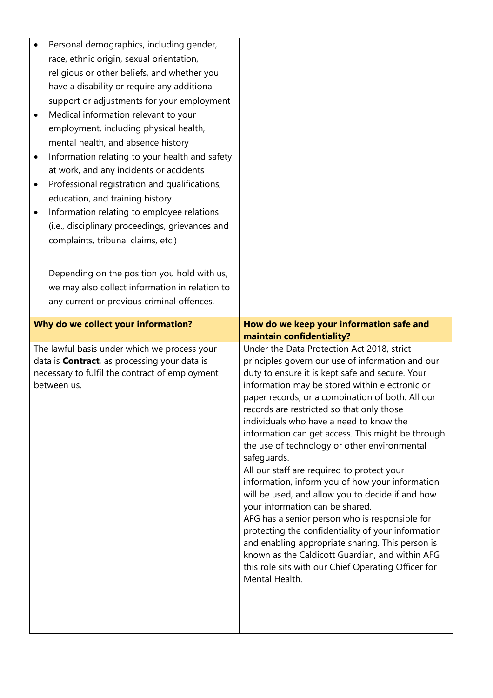|   | Personal demographics, including gender,             |                                                                                                     |
|---|------------------------------------------------------|-----------------------------------------------------------------------------------------------------|
|   | race, ethnic origin, sexual orientation,             |                                                                                                     |
|   | religious or other beliefs, and whether you          |                                                                                                     |
|   | have a disability or require any additional          |                                                                                                     |
|   | support or adjustments for your employment           |                                                                                                     |
| ٠ | Medical information relevant to your                 |                                                                                                     |
|   | employment, including physical health,               |                                                                                                     |
|   | mental health, and absence history                   |                                                                                                     |
|   | Information relating to your health and safety       |                                                                                                     |
|   | at work, and any incidents or accidents              |                                                                                                     |
| ٠ | Professional registration and qualifications,        |                                                                                                     |
|   | education, and training history                      |                                                                                                     |
| ٠ | Information relating to employee relations           |                                                                                                     |
|   | (i.e., disciplinary proceedings, grievances and      |                                                                                                     |
|   | complaints, tribunal claims, etc.)                   |                                                                                                     |
|   |                                                      |                                                                                                     |
|   |                                                      |                                                                                                     |
|   | Depending on the position you hold with us,          |                                                                                                     |
|   | we may also collect information in relation to       |                                                                                                     |
|   | any current or previous criminal offences.           |                                                                                                     |
|   | Why do we collect your information?                  | How do we keep your information safe and                                                            |
|   |                                                      |                                                                                                     |
|   |                                                      | maintain confidentiality?                                                                           |
|   | The lawful basis under which we process your         | Under the Data Protection Act 2018, strict                                                          |
|   | data is <b>Contract</b> , as processing your data is | principles govern our use of information and our                                                    |
|   | necessary to fulfil the contract of employment       | duty to ensure it is kept safe and secure. Your                                                     |
|   | between us.                                          | information may be stored within electronic or<br>paper records, or a combination of both. All our  |
|   |                                                      | records are restricted so that only those                                                           |
|   |                                                      | individuals who have a need to know the                                                             |
|   |                                                      | information can get access. This might be through                                                   |
|   |                                                      | the use of technology or other environmental                                                        |
|   |                                                      | safeguards.                                                                                         |
|   |                                                      | All our staff are required to protect your                                                          |
|   |                                                      | information, inform you of how your information<br>will be used, and allow you to decide if and how |
|   |                                                      | your information can be shared.                                                                     |
|   |                                                      | AFG has a senior person who is responsible for                                                      |
|   |                                                      | protecting the confidentiality of your information                                                  |
|   |                                                      | and enabling appropriate sharing. This person is                                                    |
|   |                                                      | known as the Caldicott Guardian, and within AFG                                                     |
|   |                                                      | this role sits with our Chief Operating Officer for<br>Mental Health.                               |
|   |                                                      |                                                                                                     |
|   |                                                      |                                                                                                     |
|   |                                                      |                                                                                                     |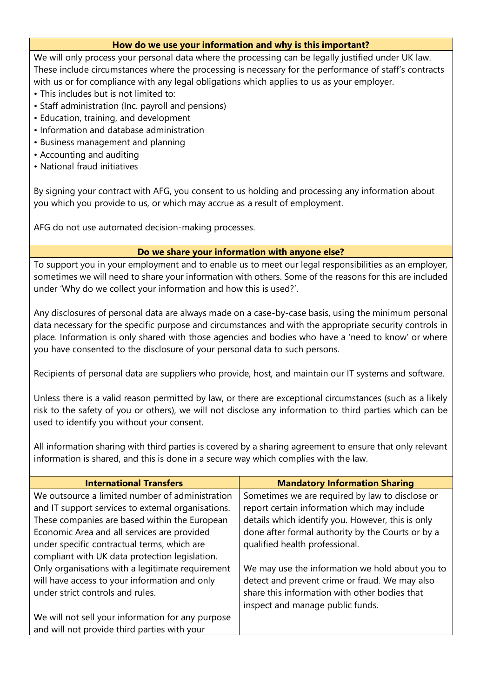## **How do we use your information and why is this important?**

We will only process your personal data where the processing can be legally justified under UK law. These include circumstances where the processing is necessary for the performance of staff's contracts with us or for compliance with any legal obligations which applies to us as your employer.

- This includes but is not limited to:
- Staff administration (Inc. payroll and pensions)
- Education, training, and development
- Information and database administration
- Business management and planning
- Accounting and auditing
- National fraud initiatives

By signing your contract with AFG, you consent to us holding and processing any information about you which you provide to us, or which may accrue as a result of employment.

AFG do not use automated decision-making processes.

## **Do we share your information with anyone else?**

To support you in your employment and to enable us to meet our legal responsibilities as an employer, sometimes we will need to share your information with others. Some of the reasons for this are included under 'Why do we collect your information and how this is used?'.

Any disclosures of personal data are always made on a case-by-case basis, using the minimum personal data necessary for the specific purpose and circumstances and with the appropriate security controls in place. Information is only shared with those agencies and bodies who have a 'need to know' or where you have consented to the disclosure of your personal data to such persons.

Recipients of personal data are suppliers who provide, host, and maintain our IT systems and software.

Unless there is a valid reason permitted by law, or there are exceptional circumstances (such as a likely risk to the safety of you or others), we will not disclose any information to third parties which can be used to identify you without your consent.

All information sharing with third parties is covered by a sharing agreement to ensure that only relevant information is shared, and this is done in a secure way which complies with the law.

| <b>International Transfers</b>                     | <b>Mandatory Information Sharing</b>              |
|----------------------------------------------------|---------------------------------------------------|
| We outsource a limited number of administration    | Sometimes we are required by law to disclose or   |
| and IT support services to external organisations. | report certain information which may include      |
| These companies are based within the European      | details which identify you. However, this is only |
| Economic Area and all services are provided        | done after formal authority by the Courts or by a |
| under specific contractual terms, which are        | qualified health professional.                    |
| compliant with UK data protection legislation.     |                                                   |
| Only organisations with a legitimate requirement   | We may use the information we hold about you to   |
| will have access to your information and only      | detect and prevent crime or fraud. We may also    |
| under strict controls and rules.                   | share this information with other bodies that     |
|                                                    | inspect and manage public funds.                  |
| We will not sell your information for any purpose  |                                                   |
| and will not provide third parties with your       |                                                   |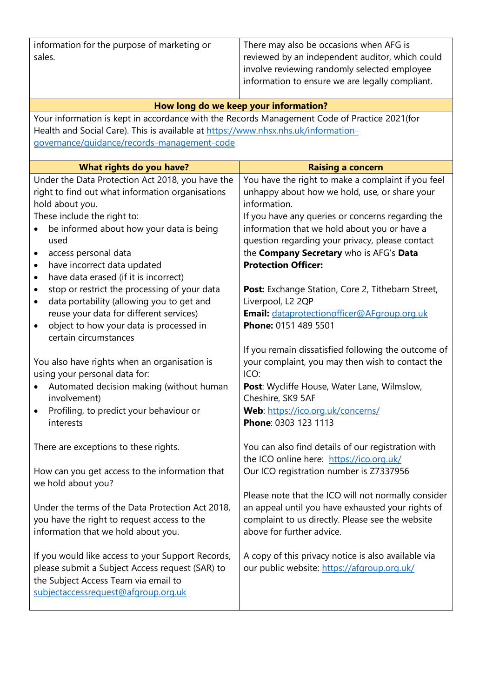| information for the purpose of marketing or<br>sales.                                                                                                                                                                                                                                                                                                                                                                                                                                                                                                        | There may also be occasions when AFG is<br>reviewed by an independent auditor, which could<br>involve reviewing randomly selected employee<br>information to ensure we are legally compliant.                                                                                                                                                                                                                                                                                                         |  |  |  |
|--------------------------------------------------------------------------------------------------------------------------------------------------------------------------------------------------------------------------------------------------------------------------------------------------------------------------------------------------------------------------------------------------------------------------------------------------------------------------------------------------------------------------------------------------------------|-------------------------------------------------------------------------------------------------------------------------------------------------------------------------------------------------------------------------------------------------------------------------------------------------------------------------------------------------------------------------------------------------------------------------------------------------------------------------------------------------------|--|--|--|
|                                                                                                                                                                                                                                                                                                                                                                                                                                                                                                                                                              |                                                                                                                                                                                                                                                                                                                                                                                                                                                                                                       |  |  |  |
| How long do we keep your information?                                                                                                                                                                                                                                                                                                                                                                                                                                                                                                                        |                                                                                                                                                                                                                                                                                                                                                                                                                                                                                                       |  |  |  |
| Your information is kept in accordance with the Records Management Code of Practice 2021(for                                                                                                                                                                                                                                                                                                                                                                                                                                                                 |                                                                                                                                                                                                                                                                                                                                                                                                                                                                                                       |  |  |  |
| Health and Social Care). This is available at https://www.nhsx.nhs.uk/information-                                                                                                                                                                                                                                                                                                                                                                                                                                                                           |                                                                                                                                                                                                                                                                                                                                                                                                                                                                                                       |  |  |  |
| governance/quidance/records-management-code                                                                                                                                                                                                                                                                                                                                                                                                                                                                                                                  |                                                                                                                                                                                                                                                                                                                                                                                                                                                                                                       |  |  |  |
| What rights do you have?                                                                                                                                                                                                                                                                                                                                                                                                                                                                                                                                     | <b>Raising a concern</b>                                                                                                                                                                                                                                                                                                                                                                                                                                                                              |  |  |  |
| Under the Data Protection Act 2018, you have the<br>right to find out what information organisations<br>hold about you.<br>These include the right to:<br>be informed about how your data is being<br>used<br>access personal data<br>٠<br>have incorrect data updated<br>٠<br>have data erased (if it is incorrect)<br>٠<br>stop or restrict the processing of your data<br>٠<br>data portability (allowing you to get and<br>٠<br>reuse your data for different services)<br>object to how your data is processed in<br>$\bullet$<br>certain circumstances | You have the right to make a complaint if you feel<br>unhappy about how we hold, use, or share your<br>information.<br>If you have any queries or concerns regarding the<br>information that we hold about you or have a<br>question regarding your privacy, please contact<br>the Company Secretary who is AFG's Data<br><b>Protection Officer:</b><br>Post: Exchange Station, Core 2, Tithebarn Street,<br>Liverpool, L2 2QP<br>Email: dataprotectionofficer@AFgroup.org.uk<br>Phone: 0151 489 5501 |  |  |  |
| You also have rights when an organisation is<br>using your personal data for:<br>Automated decision making (without human<br>involvement)<br>Profiling, to predict your behaviour or<br>interests                                                                                                                                                                                                                                                                                                                                                            | If you remain dissatisfied following the outcome of<br>your complaint, you may then wish to contact the<br>ICO:<br>Post: Wycliffe House, Water Lane, Wilmslow,<br>Cheshire, SK9 5AF<br>Web: https://ico.org.uk/concerns/<br>Phone: 0303 123 1113                                                                                                                                                                                                                                                      |  |  |  |
| There are exceptions to these rights.<br>How can you get access to the information that<br>we hold about you?<br>Under the terms of the Data Protection Act 2018,                                                                                                                                                                                                                                                                                                                                                                                            | You can also find details of our registration with<br>the ICO online here: https://ico.org.uk/<br>Our ICO registration number is Z7337956<br>Please note that the ICO will not normally consider<br>an appeal until you have exhausted your rights of                                                                                                                                                                                                                                                 |  |  |  |
| you have the right to request access to the<br>information that we hold about you.<br>If you would like access to your Support Records,<br>please submit a Subject Access request (SAR) to<br>the Subject Access Team via email to<br>subjectaccessrequest@afgroup.org.uk                                                                                                                                                                                                                                                                                    | complaint to us directly. Please see the website<br>above for further advice.<br>A copy of this privacy notice is also available via<br>our public website: https://afgroup.org.uk/                                                                                                                                                                                                                                                                                                                   |  |  |  |